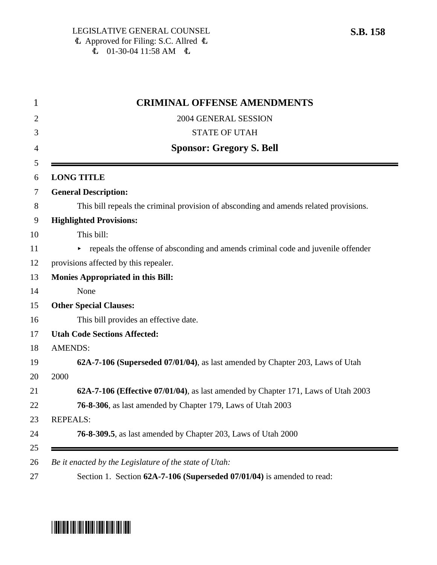| 2004 GENERAL SESSION                                                                  |
|---------------------------------------------------------------------------------------|
| <b>STATE OF UTAH</b>                                                                  |
| <b>Sponsor: Gregory S. Bell</b>                                                       |
| <b>LONG TITLE</b>                                                                     |
| <b>General Description:</b>                                                           |
| This bill repeals the criminal provision of absconding and amends related provisions. |
| <b>Highlighted Provisions:</b>                                                        |
| This bill:                                                                            |
| repeals the offense of absconding and amends criminal code and juvenile offender<br>► |
| provisions affected by this repealer.                                                 |
| <b>Monies Appropriated in this Bill:</b>                                              |
| None                                                                                  |
| <b>Other Special Clauses:</b>                                                         |
| This bill provides an effective date.                                                 |
| <b>Utah Code Sections Affected:</b>                                                   |
| <b>AMENDS:</b>                                                                        |
| 62A-7-106 (Superseded 07/01/04), as last amended by Chapter 203, Laws of Utah         |
| 2000                                                                                  |
| 62A-7-106 (Effective 07/01/04), as last amended by Chapter 171, Laws of Utah 2003     |
| 76-8-306, as last amended by Chapter 179, Laws of Utah 2003                           |
| <b>REPEALS:</b>                                                                       |
| <b>76-8-309.5</b> , as last amended by Chapter 203, Laws of Utah 2000                 |

# \*SB0158\*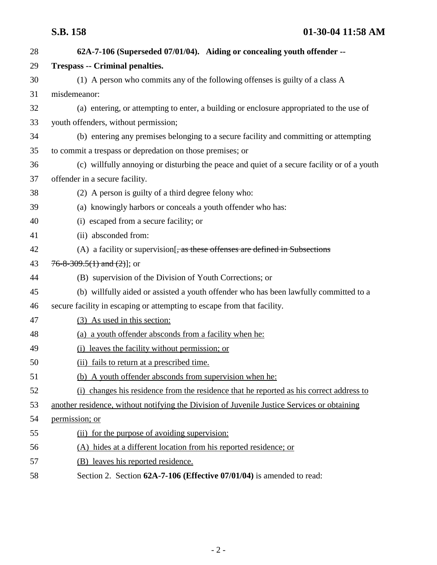| 28 | 62A-7-106 (Superseded 07/01/04). Aiding or concealing youth offender --                     |
|----|---------------------------------------------------------------------------------------------|
| 29 | <b>Trespass -- Criminal penalties.</b>                                                      |
| 30 | (1) A person who commits any of the following offenses is guilty of a class A               |
| 31 | misdemeanor:                                                                                |
| 32 | (a) entering, or attempting to enter, a building or enclosure appropriated to the use of    |
| 33 | youth offenders, without permission;                                                        |
| 34 | (b) entering any premises belonging to a secure facility and committing or attempting       |
| 35 | to commit a trespass or depredation on those premises; or                                   |
| 36 | (c) willfully annoying or disturbing the peace and quiet of a secure facility or of a youth |
| 37 | offender in a secure facility.                                                              |
| 38 | (2) A person is guilty of a third degree felony who:                                        |
| 39 | (a) knowingly harbors or conceals a youth offender who has:                                 |
| 40 | (i) escaped from a secure facility; or                                                      |
| 41 | (ii) absconded from:                                                                        |
| 42 | (A) a facility or supervision $\frac{1}{x}$ as these offenses are defined in Subsections    |
| 43 | $76 - 8 - 309.5(1)$ and $(2)$ ]; or                                                         |
| 44 | (B) supervision of the Division of Youth Corrections; or                                    |
| 45 | (b) willfully aided or assisted a youth offender who has been lawfully committed to a       |
| 46 | secure facility in escaping or attempting to escape from that facility.                     |
| 47 | (3) As used in this section:                                                                |
| 48 | (a) a youth offender absconds from a facility when he:                                      |
| 49 | (i) leaves the facility without permission; or                                              |
| 50 | (ii) fails to return at a prescribed time.                                                  |
| 51 | (b) A youth offender absconds from supervision when he:                                     |
| 52 | (i) changes his residence from the residence that he reported as his correct address to     |
| 53 | another residence, without notifying the Division of Juvenile Justice Services or obtaining |
| 54 | permission; or                                                                              |
| 55 | (ii) for the purpose of avoiding supervision:                                               |
| 56 | (A) hides at a different location from his reported residence; or                           |
| 57 | (B) leaves his reported residence.                                                          |
| 58 | Section 2. Section 62A-7-106 (Effective 07/01/04) is amended to read:                       |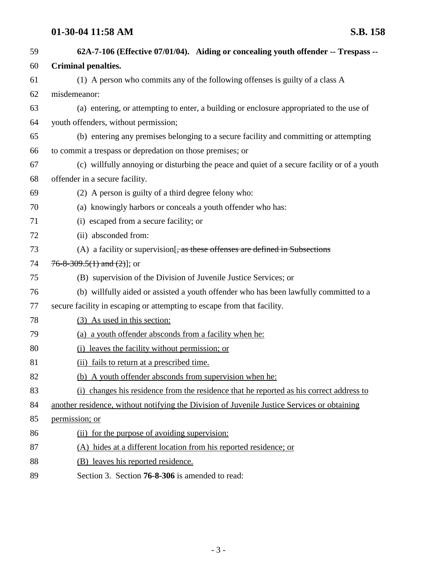# **01-30-04 11:58 AM S.B. 158**

| 59 | 62A-7-106 (Effective 07/01/04). Aiding or concealing youth offender -- Trespass --          |
|----|---------------------------------------------------------------------------------------------|
| 60 | <b>Criminal penalties.</b>                                                                  |
| 61 | (1) A person who commits any of the following offenses is guilty of a class A               |
| 62 | misdemeanor:                                                                                |
| 63 | (a) entering, or attempting to enter, a building or enclosure appropriated to the use of    |
| 64 | youth offenders, without permission;                                                        |
| 65 | (b) entering any premises belonging to a secure facility and committing or attempting       |
| 66 | to commit a trespass or depredation on those premises; or                                   |
| 67 | (c) willfully annoying or disturbing the peace and quiet of a secure facility or of a youth |
| 68 | offender in a secure facility.                                                              |
| 69 | (2) A person is guilty of a third degree felony who:                                        |
| 70 | (a) knowingly harbors or conceals a youth offender who has:                                 |
| 71 | (i) escaped from a secure facility; or                                                      |
| 72 | (ii) absconded from:                                                                        |
| 73 | (A) a facility or supervision $\frac{1}{2}$ , as these offenses are defined in Subsections  |
| 74 | $76 - 8 - 309.5(1)$ and $(2)$ ]; or                                                         |
| 75 | (B) supervision of the Division of Juvenile Justice Services; or                            |
| 76 | (b) willfully aided or assisted a youth offender who has been lawfully committed to a       |
| 77 | secure facility in escaping or attempting to escape from that facility.                     |
| 78 | (3) As used in this section:                                                                |
| 79 | (a) a youth offender absconds from a facility when he:                                      |
| 80 | (i) leaves the facility without permission; or                                              |
| 81 | (ii) fails to return at a prescribed time.                                                  |
| 82 | (b) A youth offender absconds from supervision when he:                                     |
| 83 | (i) changes his residence from the residence that he reported as his correct address to     |
| 84 | another residence, without notifying the Division of Juvenile Justice Services or obtaining |
| 85 | permission; or                                                                              |
| 86 | (ii) for the purpose of avoiding supervision:                                               |
| 87 | (A) hides at a different location from his reported residence; or                           |
| 88 | (B) leaves his reported residence.                                                          |
| 89 | Section 3. Section <b>76-8-306</b> is amended to read:                                      |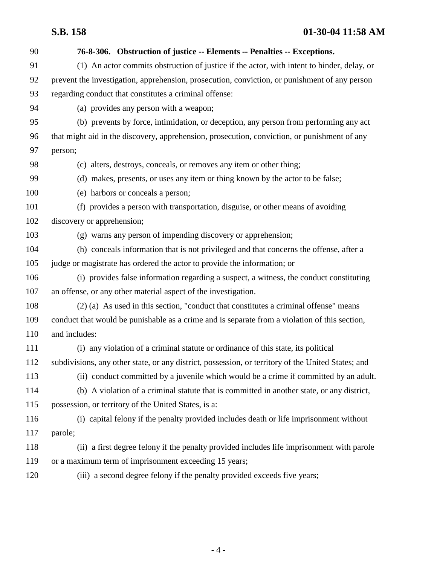| 90  | 76-8-306. Obstruction of justice -- Elements -- Penalties -- Exceptions.                           |
|-----|----------------------------------------------------------------------------------------------------|
| 91  | (1) An actor commits obstruction of justice if the actor, with intent to hinder, delay, or         |
| 92  | prevent the investigation, apprehension, prosecution, conviction, or punishment of any person      |
| 93  | regarding conduct that constitutes a criminal offense:                                             |
| 94  | (a) provides any person with a weapon;                                                             |
| 95  | (b) prevents by force, intimidation, or deception, any person from performing any act              |
| 96  | that might aid in the discovery, apprehension, prosecution, conviction, or punishment of any       |
| 97  | person;                                                                                            |
| 98  | (c) alters, destroys, conceals, or removes any item or other thing;                                |
| 99  | (d) makes, presents, or uses any item or thing known by the actor to be false;                     |
| 100 | (e) harbors or conceals a person;                                                                  |
| 101 | (f) provides a person with transportation, disguise, or other means of avoiding                    |
| 102 | discovery or apprehension;                                                                         |
| 103 | (g) warns any person of impending discovery or apprehension;                                       |
| 104 | (h) conceals information that is not privileged and that concerns the offense, after a             |
| 105 | judge or magistrate has ordered the actor to provide the information; or                           |
| 106 | (i) provides false information regarding a suspect, a witness, the conduct constituting            |
| 107 | an offense, or any other material aspect of the investigation.                                     |
| 108 | (2) (a) As used in this section, "conduct that constitutes a criminal offense" means               |
| 109 | conduct that would be punishable as a crime and is separate from a violation of this section,      |
| 110 | and includes:                                                                                      |
| 111 | (i) any violation of a criminal statute or ordinance of this state, its political                  |
| 112 | subdivisions, any other state, or any district, possession, or territory of the United States; and |
| 113 | (ii) conduct committed by a juvenile which would be a crime if committed by an adult.              |
| 114 | (b) A violation of a criminal statute that is committed in another state, or any district,         |
| 115 | possession, or territory of the United States, is a:                                               |
| 116 | (i) capital felony if the penalty provided includes death or life imprisonment without             |
| 117 | parole;                                                                                            |
| 118 | (ii) a first degree felony if the penalty provided includes life imprisonment with parole          |
| 119 | or a maximum term of imprisonment exceeding 15 years;                                              |
| 120 | (iii) a second degree felony if the penalty provided exceeds five years;                           |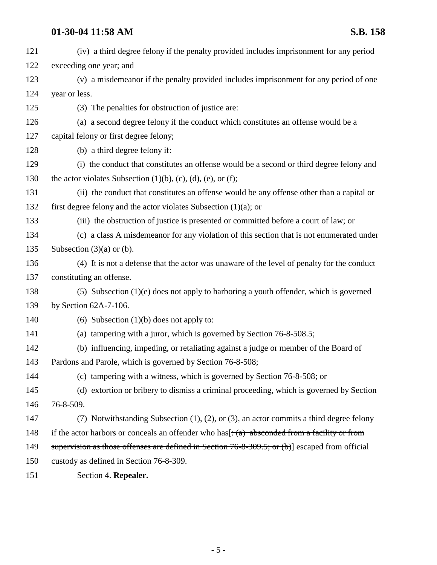# **01-30-04 11:58 AM S.B. 158**

| 121  | (iv) a third degree felony if the penalty provided includes imprisonment for any period                                        |
|------|--------------------------------------------------------------------------------------------------------------------------------|
| 122  | exceeding one year; and                                                                                                        |
| 123  | (v) a misdemeanor if the penalty provided includes imprisonment for any period of one                                          |
| 124  | year or less.                                                                                                                  |
| 125  | (3) The penalties for obstruction of justice are:                                                                              |
| 126  | (a) a second degree felony if the conduct which constitutes an offense would be a                                              |
| 127  | capital felony or first degree felony;                                                                                         |
| 128  | (b) a third degree felony if:                                                                                                  |
| 129  | (i) the conduct that constitutes an offense would be a second or third degree felony and                                       |
| 130  | the actor violates Subsection $(1)(b)$ , $(c)$ , $(d)$ , $(e)$ , or $(f)$ ;                                                    |
| 131  | (ii) the conduct that constitutes an offense would be any offense other than a capital or                                      |
| 132  | first degree felony and the actor violates Subsection $(1)(a)$ ; or                                                            |
| 133  | (iii) the obstruction of justice is presented or committed before a court of law; or                                           |
| 134  | (c) a class A misdemeanor for any violation of this section that is not enumerated under                                       |
| 135  | Subsection $(3)(a)$ or $(b)$ .                                                                                                 |
| 136  | (4) It is not a defense that the actor was unaware of the level of penalty for the conduct                                     |
| 137  | constituting an offense.                                                                                                       |
| 138  | $(5)$ Subsection $(1)(e)$ does not apply to harboring a youth offender, which is governed                                      |
| 139  | by Section $62A-7-106$ .                                                                                                       |
| 140  | (6) Subsection $(1)(b)$ does not apply to:                                                                                     |
| 141  | (a) tampering with a juror, which is governed by Section 76-8-508.5;                                                           |
| 142  | (b) influencing, impeding, or retaliating against a judge or member of the Board of                                            |
| 143  | Pardons and Parole, which is governed by Section 76-8-508;                                                                     |
| 144  | (c) tampering with a witness, which is governed by Section 76-8-508; or                                                        |
| 145  | (d) extortion or bribery to dismiss a criminal proceeding, which is governed by Section                                        |
| 146  | 76-8-509.                                                                                                                      |
| 147  | (7) Notwithstanding Subsection $(1)$ , $(2)$ , or $(3)$ , an actor commits a third degree felony                               |
| 148  | if the actor harbors or conceals an offender who has $\left[\frac{1}{2}, \frac{1}{2}\right]$ absconded from a facility or from |
| 149  | supervision as those offenses are defined in Section $76-8-309.5$ ; or (b)] escaped from official                              |
| 150  | custody as defined in Section 76-8-309.                                                                                        |
| 1.51 | $\mathbf{C}$ and $\mathbf{C}$ and $\mathbf{D}$ are $\mathbf{C}$                                                                |

151 Section 4. **Repealer.**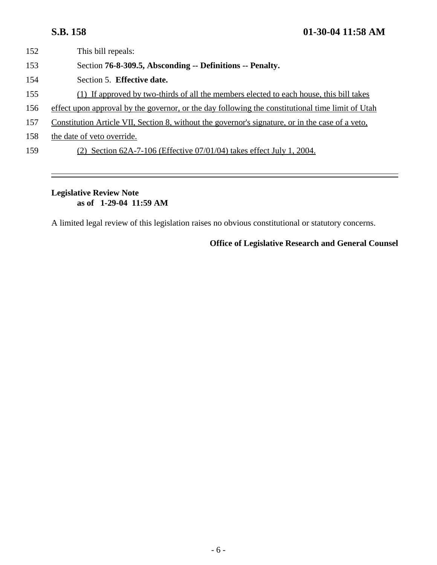- 153 Section **76-8-309.5, Absconding -- Definitions -- Penalty.**
- 154 Section 5. **Effective date.**
- 155 (1) If approved by two-thirds of all the members elected to each house, this bill takes
- 156 effect upon approval by the governor, or the day following the constitutional time limit of Utah
- 157 Constitution Article VII, Section 8, without the governor's signature, or in the case of a veto,
- 158 the date of veto override.
- 159 (2) Section 62A-7-106 (Effective 07/01/04) takes effect July 1, 2004.

### **Legislative Review Note as of 1-29-04 11:59 AM**

A limited legal review of this legislation raises no obvious constitutional or statutory concerns.

## **Office of Legislative Research and General Counsel**